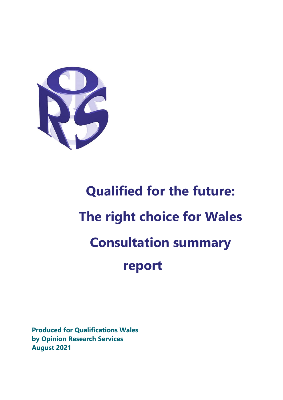

# **Qualified for the future: The right choice for Wales Consultation summary report**

**Produced for Qualifications Wales by Opinion Research Services August 2021**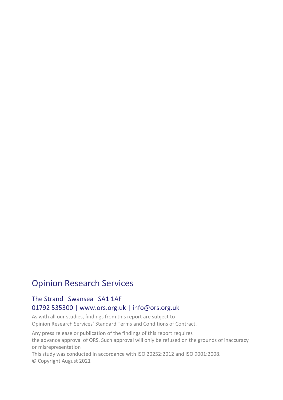## Opinion Research Services

## The Strand Swansea SA1 1AF 01792 535300 | [www.ors.org.uk](http://www.ors.org.uk/) | info@ors.org.uk

As with all our studies, findings from this report are subject to Opinion Research Services' Standard Terms and Conditions of Contract.

Any press release or publication of the findings of this report requires the advance approval of ORS. Such approval will only be refused on the grounds of inaccuracy or misrepresentation

This study was conducted in accordance with ISO 20252:2012 and ISO 9001:2008.

© Copyright August 2021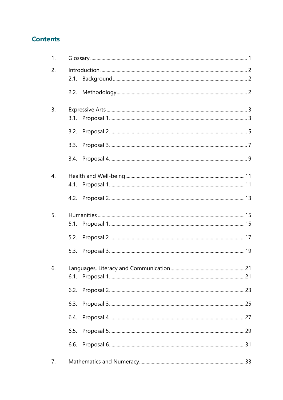## **Contents**

| 1. |      |  |
|----|------|--|
| 2. |      |  |
|    | 2.1. |  |
|    |      |  |
| 3. |      |  |
|    |      |  |
|    | 3.2. |  |
|    | 3.3. |  |
|    | 3.4. |  |
| 4. |      |  |
|    |      |  |
|    |      |  |
| 5. |      |  |
|    |      |  |
|    | 5.2. |  |
|    | 5.3. |  |
|    |      |  |
|    |      |  |
|    | 6.2. |  |
|    | 6.3. |  |
|    | 6.4. |  |
|    | 6.5. |  |
|    | 6.6. |  |
| 7. |      |  |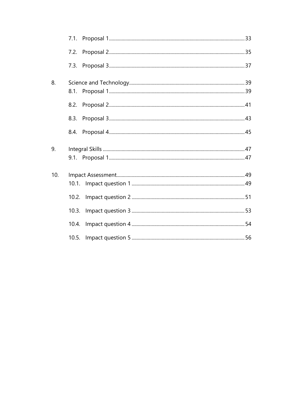| 8.  |       |  |
|-----|-------|--|
|     |       |  |
|     |       |  |
|     |       |  |
|     |       |  |
| 9.  |       |  |
|     |       |  |
| 10. |       |  |
|     |       |  |
|     | 10.2. |  |
|     | 10.3. |  |
|     | 10.4. |  |
|     |       |  |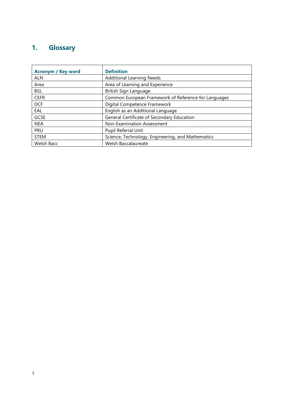# <span id="page-4-0"></span>**1. Glossary**

| <b>Acronym / Key word</b> | <b>Definition</b>                                    |
|---------------------------|------------------------------------------------------|
| <b>ALN</b>                | <b>Additional Learning Needs</b>                     |
| Area                      | Area of Learning and Experience                      |
| <b>BSL</b>                | British Sign Language                                |
| <b>CEFR</b>               | Common European Framework of Reference for Languages |
| <b>DCF</b>                | Digital Competence Framework                         |
| EAL                       | English as an Additional Language                    |
| <b>GCSE</b>               | General Certificate of Secondary Education           |
| <b>NEA</b>                | Non-Examination Assessment                           |
| <b>PRU</b>                | Pupil Referral Unit                                  |
| <b>STEM</b>               | Science, Technology, Engineering, and Mathematics    |
| Welsh Bacc                | Welsh Baccalaureate                                  |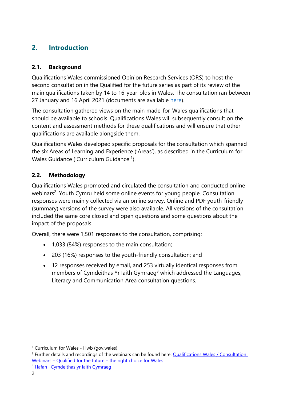## <span id="page-5-0"></span>**2. Introduction**

## <span id="page-5-1"></span>**2.1. Background**

Qualifications Wales commissioned Opinion Research Services (ORS) to host the second consultation in the Qualified for the future series as part of its review of the main qualifications taken by 14 to 16-year-olds in Wales. The consultation ran between 27 January and 16 April 2021 (documents are available [here\)](https://www.qualificationswales.org/english/qualified-for-the-future---have-your-say/).

The consultation gathered views on the main made-for-Wales qualifications that should be available to schools. Qualifications Wales will subsequently consult on the content and assessment methods for these qualifications and will ensure that other qualifications are available alongside them.

Qualifications Wales developed specific proposals for the consultation which spanned the six Areas of Learning and Experience ('Areas'), as described in the Curriculum for Wales Guidance ('Curriculum Guidance'<sup>1</sup>).

## <span id="page-5-2"></span>**2.2. Methodology**

Qualifications Wales promoted and circulated the consultation and conducted online webinars<sup>2</sup>. Youth Cymru held some online events for young people. Consultation responses were mainly collected via an online survey. Online and PDF youth-friendly (summary) versions of the survey were also available. All versions of the consultation included the same core closed and open questions and some questions about the impact of the proposals.

Overall, there were 1,501 responses to the consultation, comprising:

- 1,033 (84%) responses to the main consultation;
- 203 (16%) responses to the youth-friendly consultation; and
- 12 responses received by email, and 253 virtually identical responses from members of Cymdeithas Yr Iaith Gymraeg<sup>3</sup> which addressed the Languages, Literacy and Communication Area consultation questions.

<sup>1</sup> [Curriculum for Wales -](https://hwb.gov.wales/curriculum-for-wales) Hwb (gov.wales)

<sup>&</sup>lt;sup>2</sup> Further details and recordings of the webinars can be found here: Qualifications Wales / Consultation Webinars – Qualified for the future – [the right choice for Wales](https://qualificationswales.org/english/get-involved/events/consultation-launch-webinar---qualified-for-the-future---the-right-choice-for-wales/)

<sup>&</sup>lt;sup>3</sup> [Hafan | Cymdeithas yr Iaith Gymraeg](https://cymdeithas.cymru/)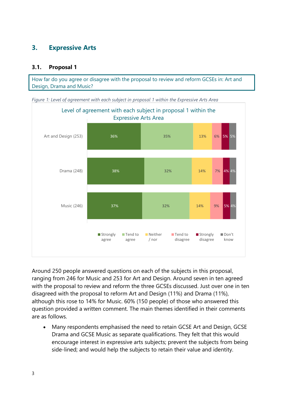## <span id="page-6-0"></span>**3. Expressive Arts**

#### <span id="page-6-1"></span>**3.1. Proposal 1**

How far do you agree or disagree with the proposal to review and reform GCSEs in: Art and Design, Drama and Music?



<span id="page-6-2"></span>*Figure 1: Level of agreement with each subject in proposal 1 within the Expressive Arts Area*

Around 250 people answered questions on each of the subjects in this proposal, ranging from 246 for Music and 253 for Art and Design. Around seven in ten agreed with the proposal to review and reform the three GCSEs discussed. Just over one in ten disagreed with the proposal to reform Art and Design (11%) and Drama (11%), although this rose to 14% for Music. 60% (150 people) of those who answered this question provided a written comment. The main themes identified in their comments are as follows.

• Many respondents emphasised the need to retain GCSE Art and Design, GCSE Drama and GCSE Music as separate qualifications. They felt that this would encourage interest in expressive arts subjects; prevent the subjects from being side-lined; and would help the subjects to retain their value and identity.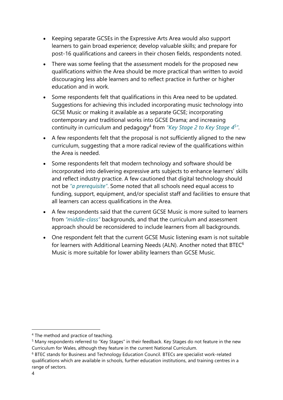- Keeping separate GCSEs in the Expressive Arts Area would also support learners to gain broad experience; develop valuable skills; and prepare for post-16 qualifications and careers in their chosen fields, respondents noted.
- There was some feeling that the assessment models for the proposed new qualifications within the Area should be more practical than written to avoid discouraging less able learners and to reflect practice in further or higher education and in work.
- Some respondents felt that qualifications in this Area need to be updated. Suggestions for achieving this included incorporating music technology into GCSE Music or making it available as a separate GCSE; incorporating contemporary and traditional works into GCSE Drama; and increasing continuity in curriculum and pedagogy<sup>4</sup> from "Key Stage 2 to Key Stage 4<sup>5</sup>".
- A few respondents felt that the proposal is not sufficiently aligned to the new curriculum, suggesting that a more radical review of the qualifications within the Area is needed.
- Some respondents felt that modern technology and software should be incorporated into delivering expressive arts subjects to enhance learners' skills and reflect industry practice. A few cautioned that digital technology should not be *"a prerequisite"*. Some noted that all schools need equal access to funding, support, equipment, and/or specialist staff and facilities to ensure that all learners can access qualifications in the Area.
- A few respondents said that the current GCSE Music is more suited to learners from *"middle-class"* backgrounds, and that the curriculum and assessment approach should be reconsidered to include learners from all backgrounds.
- One respondent felt that the current GCSE Music listening exam is not suitable for learners with Additional Learning Needs (ALN). Another noted that  $BTEC<sup>6</sup>$ Music is more suitable for lower ability learners than GCSE Music.

<sup>4</sup> The method and practice of teaching.

<sup>&</sup>lt;sup>5</sup> Many respondents referred to "Key Stages" in their feedback. Key Stages do not feature in the new Curriculum for Wales, although they feature in the current National Curriculum.

<sup>6</sup> BTEC stands for Business and Technology Education Council. BTECs are specialist work-related qualifications which are available in schools, further education institutions, and training centres in a range of sectors.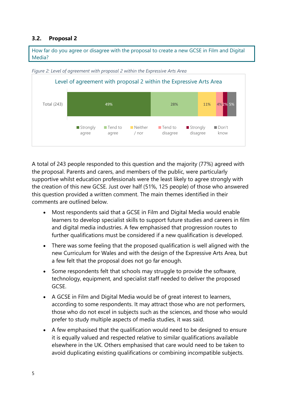#### <span id="page-8-0"></span>**3.2. Proposal 2**

How far do you agree or disagree with the proposal to create a new GCSE in Film and Digital Media?



<span id="page-8-1"></span>*Figure 2: Level of agreement with proposal 2 within the Expressive Arts Area*

A total of 243 people responded to this question and the majority (77%) agreed with the proposal. Parents and carers, and members of the public, were particularly supportive whilst education professionals were the least likely to agree strongly with the creation of this new GCSE. Just over half (51%, 125 people) of those who answered this question provided a written comment. The main themes identified in their comments are outlined below.

- Most respondents said that a GCSE in Film and Digital Media would enable learners to develop specialist skills to support future studies and careers in film and digital media industries. A few emphasised that progression routes to further qualifications must be considered if a new qualification is developed.
- There was some feeling that the proposed qualification is well aligned with the new Curriculum for Wales and with the design of the Expressive Arts Area, but a few felt that the proposal does not go far enough.
- Some respondents felt that schools may struggle to provide the software, technology, equipment, and specialist staff needed to deliver the proposed GCSE.
- A GCSE in Film and Digital Media would be of great interest to learners, according to some respondents. It may attract those who are not performers, those who do not excel in subjects such as the sciences, and those who would prefer to study multiple aspects of media studies, it was said.
- A few emphasised that the qualification would need to be designed to ensure it is equally valued and respected relative to similar qualifications available elsewhere in the UK. Others emphasised that care would need to be taken to avoid duplicating existing qualifications or combining incompatible subjects.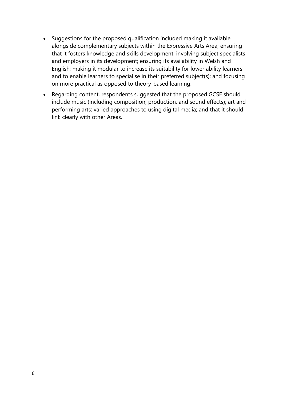- Suggestions for the proposed qualification included making it available alongside complementary subjects within the Expressive Arts Area; ensuring that it fosters knowledge and skills development; involving subject specialists and employers in its development; ensuring its availability in Welsh and English; making it modular to increase its suitability for lower ability learners and to enable learners to specialise in their preferred subject(s); and focusing on more practical as opposed to theory-based learning.
- Regarding content, respondents suggested that the proposed GCSE should include music (including composition, production, and sound effects); art and performing arts; varied approaches to using digital media; and that it should link clearly with other Areas.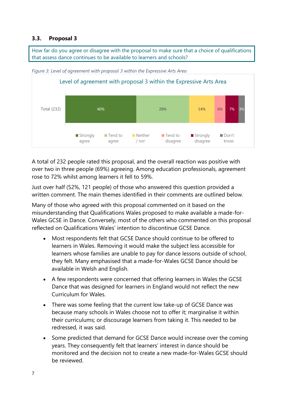#### <span id="page-10-0"></span>**3.3. Proposal 3**

How far do you agree or disagree with the proposal to make sure that a choice of qualifications that assess dance continues to be available to learners and schools?



<span id="page-10-1"></span>*Figure 3: Level of agreement with proposal 3 within the Expressive Arts Area*

A total of 232 people rated this proposal, and the overall reaction was positive with over two in three people (69%) agreeing. Among education professionals, agreement rose to 72% whilst among learners it fell to 59%.

Just over half (52%, 121 people) of those who answered this question provided a written comment. The main themes identified in their comments are outlined below.

Many of those who agreed with this proposal commented on it based on the misunderstanding that Qualifications Wales proposed to make available a made-for-Wales GCSE in Dance. Conversely, most of the others who commented on this proposal reflected on Qualifications Wales' intention to discontinue GCSE Dance.

- Most respondents felt that GCSE Dance should continue to be offered to learners in Wales. Removing it would make the subject less accessible for learners whose families are unable to pay for dance lessons outside of school, they felt. Many emphasised that a made-for-Wales GCSE Dance should be available in Welsh and English.
- A few respondents were concerned that offering learners in Wales the GCSE Dance that was designed for learners in England would not reflect the new Curriculum for Wales.
- There was some feeling that the current low take-up of GCSE Dance was because many schools in Wales choose not to offer it; marginalise it within their curriculums; or discourage learners from taking it. This needed to be redressed, it was said.
- Some predicted that demand for GCSE Dance would increase over the coming years. They consequently felt that learners' interest in dance should be monitored and the decision not to create a new made-for-Wales GCSE should be reviewed.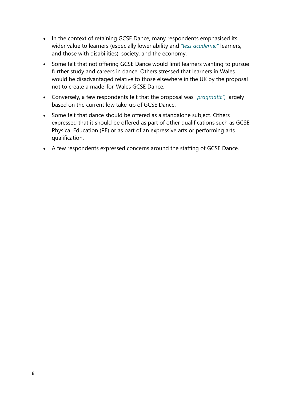- In the context of retaining GCSE Dance, many respondents emphasised its wider value to learners (especially lower ability and *"less academic"* learners, and those with disabilities), society, and the economy.
- Some felt that not offering GCSE Dance would limit learners wanting to pursue further study and careers in dance. Others stressed that learners in Wales would be disadvantaged relative to those elsewhere in the UK by the proposal not to create a made-for-Wales GCSE Dance.
- Conversely, a few respondents felt that the proposal was *"pragmatic",* largely based on the current low take-up of GCSE Dance.
- Some felt that dance should be offered as a standalone subject. Others expressed that it should be offered as part of other qualifications such as GCSE Physical Education (PE) or as part of an expressive arts or performing arts qualification.
- A few respondents expressed concerns around the staffing of GCSE Dance.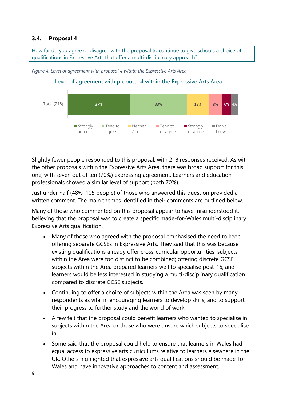#### <span id="page-12-0"></span>**3.4. Proposal 4**

How far do you agree or disagree with the proposal to continue to give schools a choice of qualifications in Expressive Arts that offer a multi-disciplinary approach?



<span id="page-12-1"></span>*Figure 4: Level of agreement with proposal 4 within the Expressive Arts Area*

Slightly fewer people responded to this proposal, with 218 responses received. As with the other proposals within the Expressive Arts Area, there was broad support for this one, with seven out of ten (70%) expressing agreement. Learners and education professionals showed a similar level of support (both 70%).

Just under half (48%, 105 people) of those who answered this question provided a written comment. The main themes identified in their comments are outlined below.

Many of those who commented on this proposal appear to have misunderstood it, believing that the proposal was to create a specific made-for-Wales multi-disciplinary Expressive Arts qualification.

- Many of those who agreed with the proposal emphasised the need to keep offering separate GCSEs in Expressive Arts. They said that this was because existing qualifications already offer cross-curricular opportunities; subjects within the Area were too distinct to be combined; offering discrete GCSE subjects within the Area prepared learners well to specialise post-16; and learners would be less interested in studying a multi-disciplinary qualification compared to discrete GCSE subjects.
- Continuing to offer a choice of subjects within the Area was seen by many respondents as vital in encouraging learners to develop skills, and to support their progress to further study and the world of work.
- A few felt that the proposal could benefit learners who wanted to specialise in subjects within the Area or those who were unsure which subjects to specialise in.
- Some said that the proposal could help to ensure that learners in Wales had equal access to expressive arts curriculums relative to learners elsewhere in the UK. Others highlighted that expressive arts qualifications should be made-for-Wales and have innovative approaches to content and assessment.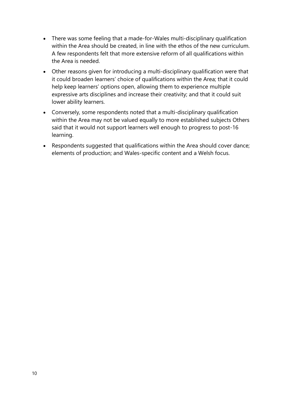- There was some feeling that a made-for-Wales multi-disciplinary qualification within the Area should be created, in line with the ethos of the new curriculum. A few respondents felt that more extensive reform of all qualifications within the Area is needed.
- Other reasons given for introducing a multi-disciplinary qualification were that it could broaden learners' choice of qualifications within the Area; that it could help keep learners' options open, allowing them to experience multiple expressive arts disciplines and increase their creativity; and that it could suit lower ability learners.
- Conversely, some respondents noted that a multi-disciplinary qualification within the Area may not be valued equally to more established subjects Others said that it would not support learners well enough to progress to post-16 learning.
- Respondents suggested that qualifications within the Area should cover dance; elements of production; and Wales-specific content and a Welsh focus.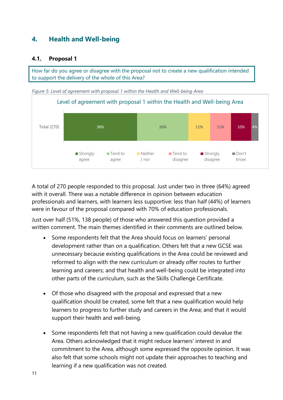## <span id="page-14-0"></span>**4. Health and Well-being**

#### <span id="page-14-1"></span>**4.1. Proposal 1**

How far do you agree or disagree with the proposal not to create a new qualification intended to support the delivery of the whole of this Area?

<span id="page-14-2"></span>*Figure 5: Level of agreement with proposal 1 within the Health and Well-being Area*



A total of 270 people responded to this proposal. Just under two in three (64%) agreed with it overall. There was a notable difference in opinion between education professionals and learners, with learners less supportive: less than half (44%) of learners were in favour of the proposal compared with 70% of education professionals.

Just over half (51%, 138 people) of those who answered this question provided a written comment. The main themes identified in their comments are outlined below.

- Some respondents felt that the Area should focus on learners' personal development rather than on a qualification. Others felt that a new GCSE was unnecessary because existing qualifications in the Area could be reviewed and reformed to align with the new curriculum or already offer routes to further learning and careers; and that health and well-being could be integrated into other parts of the curriculum, such as the Skills Challenge Certificate.
- Of those who disagreed with the proposal and expressed that a new qualification should be created, some felt that a new qualification would help learners to progress to further study and careers in the Area; and that it would support their health and well-being.
- Some respondents felt that not having a new qualification could devalue the Area. Others acknowledged that it might reduce learners' interest in and commitment to the Area, although some expressed the opposite opinion. It was also felt that some schools might not update their approaches to teaching and learning if a new qualification was not created.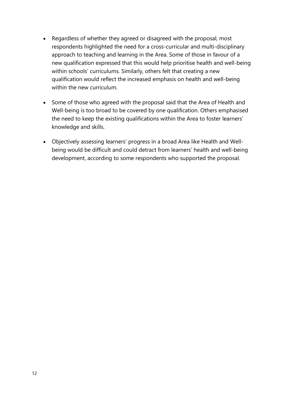- Regardless of whether they agreed or disagreed with the proposal, most respondents highlighted the need for a cross-curricular and multi-disciplinary approach to teaching and learning in the Area. Some of those in favour of a new qualification expressed that this would help prioritise health and well-being within schools' curriculums. Similarly, others felt that creating a new qualification would reflect the increased emphasis on health and well-being within the new curriculum.
- Some of those who agreed with the proposal said that the Area of Health and Well-being is too broad to be covered by one qualification. Others emphasised the need to keep the existing qualifications within the Area to foster learners' knowledge and skills.
- Objectively assessing learners' progress in a broad Area like Health and Wellbeing would be difficult and could detract from learners' health and well-being development, according to some respondents who supported the proposal.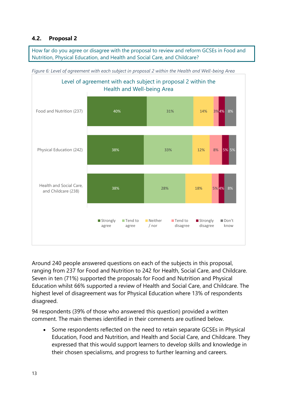#### <span id="page-16-0"></span>**4.2. Proposal 2**

How far do you agree or disagree with the proposal to review and reform GCSEs in Food and Nutrition, Physical Education, and Health and Social Care, and Childcare?



<span id="page-16-1"></span>*Figure 6: Level of agreement with each subject in proposal 2 within the Health and Well-being Area*

Around 240 people answered questions on each of the subjects in this proposal, ranging from 237 for Food and Nutrition to 242 for Health, Social Care, and Childcare. Seven in ten (71%) supported the proposals for Food and Nutrition and Physical Education whilst 66% supported a review of Health and Social Care, and Childcare. The highest level of disagreement was for Physical Education where 13% of respondents disagreed.

94 respondents (39% of those who answered this question) provided a written comment. The main themes identified in their comments are outlined below.

• Some respondents reflected on the need to retain separate GCSEs in Physical Education, Food and Nutrition, and Health and Social Care, and Childcare. They expressed that this would support learners to develop skills and knowledge in their chosen specialisms, and progress to further learning and careers.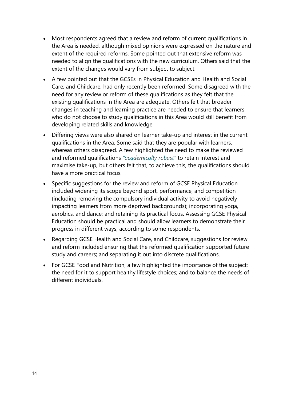- Most respondents agreed that a review and reform of current qualifications in the Area is needed, although mixed opinions were expressed on the nature and extent of the required reforms. Some pointed out that extensive reform was needed to align the qualifications with the new curriculum. Others said that the extent of the changes would vary from subject to subject.
- A few pointed out that the GCSEs in Physical Education and Health and Social Care, and Childcare, had only recently been reformed. Some disagreed with the need for any review or reform of these qualifications as they felt that the existing qualifications in the Area are adequate. Others felt that broader changes in teaching and learning practice are needed to ensure that learners who do not choose to study qualifications in this Area would still benefit from developing related skills and knowledge.
- Differing views were also shared on learner take-up and interest in the current qualifications in the Area. Some said that they are popular with learners, whereas others disagreed. A few highlighted the need to make the reviewed and reformed qualifications *"academically robust"* to retain interest and maximise take-up, but others felt that, to achieve this, the qualifications should have a more practical focus.
- Specific suggestions for the review and reform of GCSE Physical Education included widening its scope beyond sport, performance, and competition (including removing the compulsory individual activity to avoid negatively impacting learners from more deprived backgrounds); incorporating yoga, aerobics, and dance; and retaining its practical focus. Assessing GCSE Physical Education should be practical and should allow learners to demonstrate their progress in different ways, according to some respondents.
- Regarding GCSE Health and Social Care, and Childcare, suggestions for review and reform included ensuring that the reformed qualification supported future study and careers; and separating it out into discrete qualifications.
- For GCSE Food and Nutrition, a few highlighted the importance of the subject; the need for it to support healthy lifestyle choices; and to balance the needs of different individuals.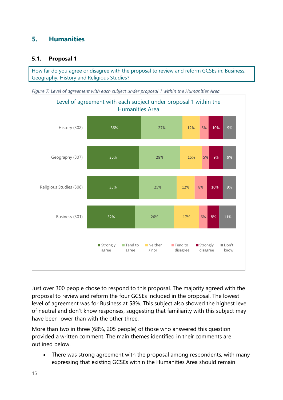## <span id="page-18-0"></span>**5. Humanities**

#### <span id="page-18-1"></span>**5.1. Proposal 1**

How far do you agree or disagree with the proposal to review and reform GCSEs in: Business, Geography, History and Religious Studies?

<span id="page-18-2"></span>*Figure 7: Level of agreement with each subject under proposal 1 within the Humanities Area*



Just over 300 people chose to respond to this proposal. The majority agreed with the proposal to review and reform the four GCSEs included in the proposal. The lowest level of agreement was for Business at 58%. This subject also showed the highest level of neutral and don't know responses, suggesting that familiarity with this subject may have been lower than with the other three.

More than two in three (68%, 205 people) of those who answered this question provided a written comment. The main themes identified in their comments are outlined below.

• There was strong agreement with the proposal among respondents, with many expressing that existing GCSEs within the Humanities Area should remain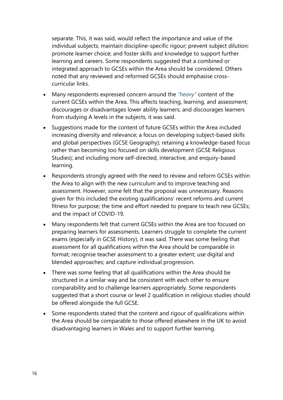separate. This, it was said, would reflect the importance and value of the individual subjects; maintain discipline-specific rigour; prevent subject dilution; promote learner choice; and foster skills and knowledge to support further learning and careers. Some respondents suggested that a combined or integrated approach to GCSEs within the Area should be considered. Others noted that any reviewed and reformed GCSEs should emphasise crosscurricular links.

- Many respondents expressed concern around the *"heavy"* content of the current GCSEs within the Area. This affects teaching, learning, and assessment; discourages or disadvantages lower ability learners; and discourages learners from studying A levels in the subjects, it was said.
- Suggestions made for the content of future GCSEs within the Area included increasing diversity and relevance; a focus on developing subject-based skills and global perspectives (GCSE Geography); retaining a knowledge-based focus rather than becoming too focused on skills development (GCSE Religious Studies); and including more self-directed, interactive, and enquiry-based learning.
- Respondents strongly agreed with the need to review and reform GCSEs within the Area to align with the new curriculum and to improve teaching and assessment. However, some felt that the proposal was unnecessary. Reasons given for this included the existing qualifications' recent reforms and current fitness for purpose; the time and effort needed to prepare to teach new GCSEs; and the impact of COVID-19.
- Many respondents felt that current GCSEs within the Area are too focused on preparing learners for assessments. Learners struggle to complete the current exams (especially in GCSE History), it was said. There was some feeling that assessment for all qualifications within the Area should be comparable in format; recognise teacher assessment to a greater extent; use digital and blended approaches; and capture individual progression.
- There was some feeling that all qualifications within the Area should be structured in a similar way and be consistent with each other to ensure comparability and to challenge learners appropriately. Some respondents suggested that a short course or level 2 qualification in religious studies should be offered alongside the full GCSE.
- Some respondents stated that the content and rigour of qualifications within the Area should be comparable to those offered elsewhere in the UK to avoid disadvantaging learners in Wales and to support further learning.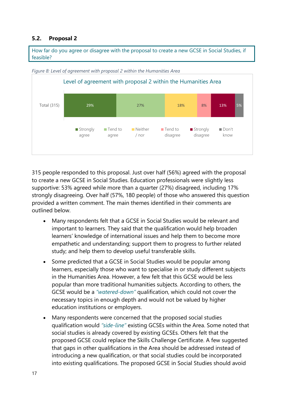#### <span id="page-20-0"></span>**5.2. Proposal 2**

How far do you agree or disagree with the proposal to create a new GCSE in Social Studies, if feasible?



<span id="page-20-1"></span>*Figure 8: Level of agreement with proposal 2 within the Humanities Area*

315 people responded to this proposal. Just over half (56%) agreed with the proposal to create a new GCSE in Social Studies. Education professionals were slightly less supportive: 53% agreed while more than a quarter (27%) disagreed, including 17% strongly disagreeing. Over half (57%, 180 people) of those who answered this question provided a written comment. The main themes identified in their comments are outlined below.

- Many respondents felt that a GCSE in Social Studies would be relevant and important to learners. They said that the qualification would help broaden learners' knowledge of international issues and help them to become more empathetic and understanding; support them to progress to further related study; and help them to develop useful transferable skills.
- Some predicted that a GCSE in Social Studies would be popular among learners, especially those who want to specialise in or study different subjects in the Humanities Area. However, a few felt that this GCSE would be less popular than more traditional humanities subjects. According to others, the GCSE would be a *"watered-down"* qualification, which could not cover the necessary topics in enough depth and would not be valued by higher education institutions or employers.
- Many respondents were concerned that the proposed social studies qualification would *"side-line"* existing GCSEs within the Area. Some noted that social studies is already covered by existing GCSEs. Others felt that the proposed GCSE could replace the Skills Challenge Certificate. A few suggested that gaps in other qualifications in the Area should be addressed instead of introducing a new qualification, or that social studies could be incorporated into existing qualifications. The proposed GCSE in Social Studies should avoid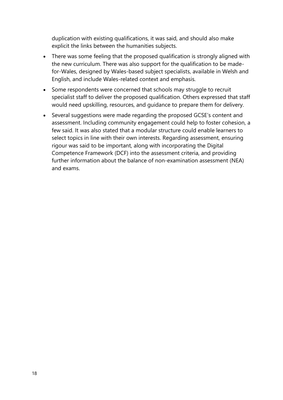duplication with existing qualifications, it was said, and should also make explicit the links between the humanities subjects.

- There was some feeling that the proposed qualification is strongly aligned with the new curriculum. There was also support for the qualification to be madefor-Wales, designed by Wales-based subject specialists, available in Welsh and English, and include Wales-related context and emphasis.
- Some respondents were concerned that schools may struggle to recruit specialist staff to deliver the proposed qualification. Others expressed that staff would need upskilling, resources, and guidance to prepare them for delivery.
- Several suggestions were made regarding the proposed GCSE's content and assessment. Including community engagement could help to foster cohesion, a few said. It was also stated that a modular structure could enable learners to select topics in line with their own interests. Regarding assessment, ensuring rigour was said to be important, along with incorporating the Digital Competence Framework (DCF) into the assessment criteria, and providing further information about the balance of non-examination assessment (NEA) and exams.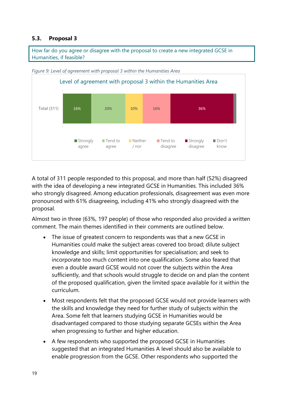#### <span id="page-22-0"></span>**5.3. Proposal 3**

How far do you agree or disagree with the proposal to create a new integrated GCSE in Humanities, if feasible?



<span id="page-22-1"></span>*Figure 9: Level of agreement with proposal 3 within the Humanities Area*

A total of 311 people responded to this proposal, and more than half (52%) disagreed with the idea of developing a new integrated GCSE in Humanities. This included 36% who strongly disagreed. Among education professionals, disagreement was even more pronounced with 61% disagreeing, including 41% who strongly disagreed with the proposal.

Almost two in three (63%, 197 people) of those who responded also provided a written comment. The main themes identified in their comments are outlined below.

- The issue of greatest concern to respondents was that a new GCSE in Humanities could make the subject areas covered too broad; dilute subject knowledge and skills; limit opportunities for specialisation; and seek to incorporate too much content into one qualification. Some also feared that even a double award GCSE would not cover the subjects within the Area sufficiently, and that schools would struggle to decide on and plan the content of the proposed qualification, given the limited space available for it within the curriculum.
- Most respondents felt that the proposed GCSE would not provide learners with the skills and knowledge they need for further study of subjects within the Area. Some felt that learners studying GCSE in Humanities would be disadvantaged compared to those studying separate GCSEs within the Area when progressing to further and higher education.
- A few respondents who supported the proposed GCSE in Humanities suggested that an integrated Humanities A level should also be available to enable progression from the GCSE. Other respondents who supported the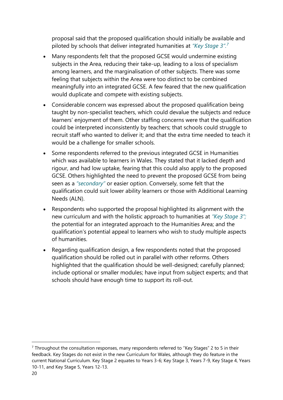proposal said that the proposed qualification should initially be available and piloted by schools that deliver integrated humanities at *"Key Stage 3".<sup>7</sup>*

- Many respondents felt that the proposed GCSE would undermine existing subjects in the Area, reducing their take-up, leading to a loss of specialism among learners, and the marginalisation of other subjects. There was some feeling that subjects within the Area were too distinct to be combined meaningfully into an integrated GCSE. A few feared that the new qualification would duplicate and compete with existing subjects.
- Considerable concern was expressed about the proposed qualification being taught by non-specialist teachers, which could devalue the subjects and reduce learners' enjoyment of them. Other staffing concerns were that the qualification could be interpreted inconsistently by teachers; that schools could struggle to recruit staff who wanted to deliver it; and that the extra time needed to teach it would be a challenge for smaller schools.
- Some respondents referred to the previous integrated GCSE in Humanities which was available to learners in Wales. They stated that it lacked depth and rigour, and had low uptake, fearing that this could also apply to the proposed GCSE. Others highlighted the need to prevent the proposed GCSE from being seen as a *"secondary"* or easier option. Conversely, some felt that the qualification could suit lower ability learners or those with Additional Learning Needs (ALN).
- Respondents who supported the proposal highlighted its alignment with the new curriculum and with the holistic approach to humanities at *"Key Stage 3";* the potential for an integrated approach to the Humanities Area; and the qualification's potential appeal to learners who wish to study multiple aspects of humanities.
- Regarding qualification design, a few respondents noted that the proposed qualification should be rolled out in parallel with other reforms. Others highlighted that the qualification should be well-designed; carefully planned; include optional or smaller modules; have input from subject experts; and that schools should have enough time to support its roll-out.

 $7$  Throughout the consultation responses, many respondents referred to "Key Stages" 2 to 5 in their feedback. Key Stages do not exist in the new Curriculum for Wales, although they do feature in the current National Curriculum. Key Stage 2 equates to Years 3-6; Key Stage 3, Years 7-9, Key Stage 4, Years 10-11, and Key Stage 5, Years 12-13.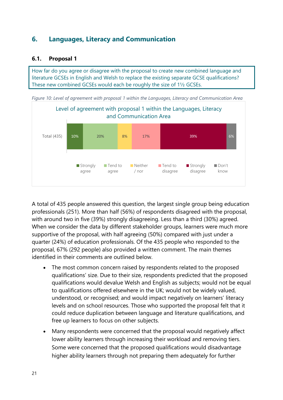## <span id="page-24-0"></span>**6. Languages, Literacy and Communication**

#### <span id="page-24-1"></span>**6.1. Proposal 1**

How far do you agree or disagree with the proposal to create new combined language and literature GCSEs in English and Welsh to replace the existing separate GCSE qualifications? These new combined GCSEs would each be roughly the size of 1½ GCSEs.

<span id="page-24-2"></span>*Figure 10: Level of agreement with proposal 1 within the Languages, Literacy and Communication Area*



A total of 435 people answered this question, the largest single group being education professionals (251). More than half (56%) of respondents disagreed with the proposal, with around two in five (39%) strongly disagreeing. Less than a third (30%) agreed. When we consider the data by different stakeholder groups, learners were much more supportive of the proposal, with half agreeing (50%) compared with just under a quarter (24%) of education professionals. Of the 435 people who responded to the proposal, 67% (292 people) also provided a written comment. The main themes identified in their comments are outlined below.

- The most common concern raised by respondents related to the proposed qualifications' size. Due to their size, respondents predicted that the proposed qualifications would devalue Welsh and English as subjects; would not be equal to qualifications offered elsewhere in the UK; would not be widely valued, understood, or recognised; and would impact negatively on learners' literacy levels and on school resources. Those who supported the proposal felt that it could reduce duplication between language and literature qualifications, and free up learners to focus on other subjects.
- Many respondents were concerned that the proposal would negatively affect lower ability learners through increasing their workload and removing tiers. Some were concerned that the proposed qualifications would disadvantage higher ability learners through not preparing them adequately for further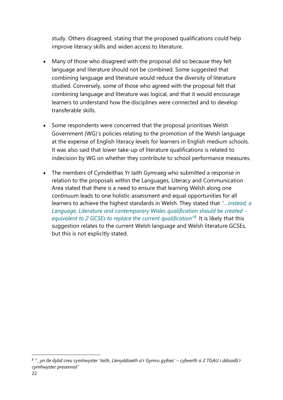study. Others disagreed, stating that the proposed qualifications could help improve literacy skills and widen access to literature.

- Many of those who disagreed with the proposal did so because they felt language and literature should not be combined. Some suggested that combining language and literature would reduce the diversity of literature studied. Conversely, some of those who agreed with the proposal felt that combining language and literature was logical, and that it would encourage learners to understand how the disciplines were connected and to develop transferable skills.
- Some respondents were concerned that the proposal prioritises Welsh Government (WG)'s policies relating to the promotion of the Welsh language at the expense of English literacy levels for learners in English medium schools. It was also said that lower take-up of literature qualifications is related to indecision by WG on whether they contribute to school performance measures.
- The members of Cymdeithas Yr Iaith Gymraeg who submitted a response in relation to the proposals within the Languages, Literacy and Communication Area stated that there is a need to ensure that learning Welsh along one continuum leads to one holistic assessment and equal opportunities for all learners to achieve the highest standards in Welsh. They stated that *"…instead, a Language, Literature and contemporary Wales qualification should be created equivalent to 2 GCSEs to replace the current qualification"<sup>8</sup> .* It is likely that this suggestion relates to the current Welsh language and Welsh literature GCSEs, but this is not explicitly stated.

<sup>22</sup> *8 "…yn lle dylid creu cymhwyster 'Iaith, Llenyddiaeth a'r Gymru gyfoes' – cyfwerth a 2 TGAU i ddisodli'r cymhwyster presennol"*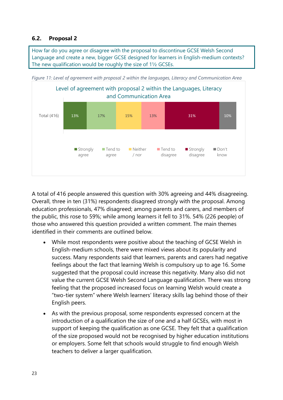#### <span id="page-26-0"></span>**6.2. Proposal 2**

How far do you agree or disagree with the proposal to discontinue GCSE Welsh Second Language and create a new, bigger GCSE designed for learners in English-medium contexts? The new qualification would be roughly the size of 1½ GCSEs.



<span id="page-26-1"></span>*Figure 11: Level of agreement with proposal 2 within the languages, Literacy and Communication Area*

A total of 416 people answered this question with 30% agreeing and 44% disagreeing. Overall, three in ten (31%) respondents disagreed strongly with the proposal. Among education professionals, 47% disagreed; among parents and carers, and members of the public, this rose to 59%; while among learners it fell to 31%. 54% (226 people) of those who answered this question provided a written comment. The main themes identified in their comments are outlined below.

- While most respondents were positive about the teaching of GCSE Welsh in English-medium schools, there were mixed views about its popularity and success. Many respondents said that learners, parents and carers had negative feelings about the fact that learning Welsh is compulsory up to age 16. Some suggested that the proposal could increase this negativity. Many also did not value the current GCSE Welsh Second Language qualification. There was strong feeling that the proposed increased focus on learning Welsh would create a "two-tier system" where Welsh learners' literacy skills lag behind those of their English peers.
- As with the previous proposal, some respondents expressed concern at the introduction of a qualification the size of one and a half GCSEs, with most in support of keeping the qualification as one GCSE. They felt that a qualification of the size proposed would not be recognised by higher education institutions or employers. Some felt that schools would struggle to find enough Welsh teachers to deliver a larger qualification.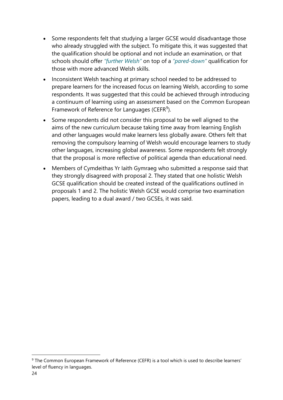- Some respondents felt that studying a larger GCSE would disadvantage those who already struggled with the subject. To mitigate this, it was suggested that the qualification should be optional and not include an examination, or that schools should offer *"further Welsh"* on top of a *"pared-down"* qualification for those with more advanced Welsh skills.
- Inconsistent Welsh teaching at primary school needed to be addressed to prepare learners for the increased focus on learning Welsh, according to some respondents. It was suggested that this could be achieved through introducing a continuum of learning using an assessment based on the Common European Framework of Reference for Languages (CEFR<sup>9</sup>).
- Some respondents did not consider this proposal to be well aligned to the aims of the new curriculum because taking time away from learning English and other languages would make learners less globally aware. Others felt that removing the compulsory learning of Welsh would encourage learners to study other languages, increasing global awareness. Some respondents felt strongly that the proposal is more reflective of political agenda than educational need.
- Members of Cymdeithas Yr Iaith Gymraeg who submitted a response said that they strongly disagreed with proposal 2. They stated that one holistic Welsh GCSE qualification should be created instead of the qualifications outlined in proposals 1 and 2. The holistic Welsh GCSE would comprise two examination papers, leading to a dual award / two GCSEs, it was said.

<sup>&</sup>lt;sup>9</sup> The Common European Framework of Reference (CEFR) is a tool which is used to describe learners' level of fluency in languages.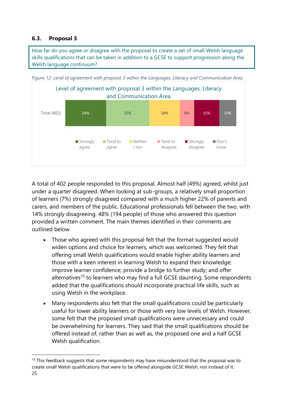#### <span id="page-28-0"></span>**6.3. Proposal 3**

How far do you agree or disagree with the proposal to create a set of small Welsh language skills qualifications that can be taken in addition to a GCSE to support progression along the Welsh language continuum?



<span id="page-28-1"></span>*Figure 12: Level of agreement with proposal 3 within the Languages, Literacy and Communication Area*

A total of 402 people responded to this proposal. Almost half (49%) agreed, whilst just under a quarter disagreed. When looking at sub-groups, a relatively small proportion of learners (7%) strongly disagreed compared with a much higher 22% of parents and carers, and members of the public. Educational professionals fell between the two, with 14% strongly disagreeing. 48% (194 people) of those who answered this question provided a written comment. The main themes identified in their comments are outlined below.

- Those who agreed with this proposal felt that the format suggested would widen options and choice for learners, which was welcomed. They felt that offering small Welsh qualifications would enable higher ability learners and those with a keen interest in learning Welsh to expand their knowledge; improve learner confidence; provide a bridge to further study; and offer alternatives<sup>10</sup> to learners who may find a full GCSE daunting. Some respondents added that the qualifications should incorporate practical life skills, such as using Welsh in the workplace.
- Many respondents also felt that the small qualifications could be particularly useful for lower ability learners or those with very low levels of Welsh. However, some felt that the proposed small qualifications were unnecessary and could be overwhelming for learners. They said that the small qualifications should be offered instead of, rather than as well as, the proposed one and a half GCSE Welsh qualification.

<sup>25</sup>  $10$  This feedback suggests that some respondents may have misunderstood that the proposal was to create small Welsh qualifications that were to be offered alongside GCSE Welsh, not instead of it.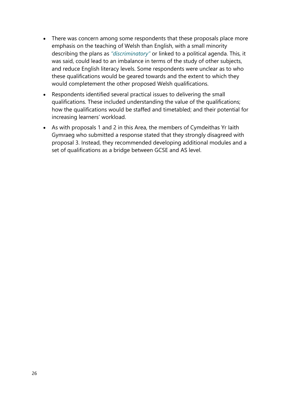- There was concern among some respondents that these proposals place more emphasis on the teaching of Welsh than English, with a small minority describing the plans as *"discriminatory"* or linked to a political agenda. This, it was said, could lead to an imbalance in terms of the study of other subjects, and reduce English literacy levels. Some respondents were unclear as to who these qualifications would be geared towards and the extent to which they would completement the other proposed Welsh qualifications.
- Respondents identified several practical issues to delivering the small qualifications. These included understanding the value of the qualifications; how the qualifications would be staffed and timetabled; and their potential for increasing learners' workload.
- As with proposals 1 and 2 in this Area, the members of Cymdeithas Yr Iaith Gymraeg who submitted a response stated that they strongly disagreed with proposal 3. Instead, they recommended developing additional modules and a set of qualifications as a bridge between GCSE and AS level.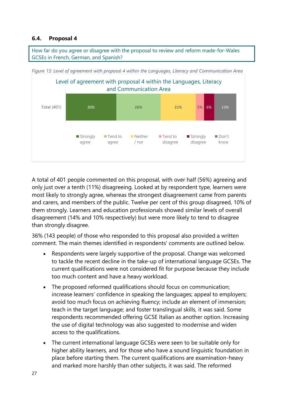#### <span id="page-30-0"></span>**6.4. Proposal 4**

How far do you agree or disagree with the proposal to review and reform made-for-Wales GCSEs in French, German, and Spanish?



<span id="page-30-1"></span>*Figure 13: Level of agreement with proposal 4 within the Languages, Literacy and Communication Area*

A total of 401 people commented on this proposal, with over half (56%) agreeing and only just over a tenth (11%) disagreeing. Looked at by respondent type, learners were most likely to strongly agree, whereas the strongest disagreement came from parents and carers, and members of the public. Twelve per cent of this group disagreed, 10% of them strongly. Learners and education professionals showed similar levels of overall disagreement (14% and 10% respectively) but were more likely to tend to disagree than strongly disagree.

36% (143 people) of those who responded to this proposal also provided a written comment. The main themes identified in respondents' comments are outlined below.

- Respondents were largely supportive of the proposal. Change was welcomed to tackle the recent decline in the take-up of international language GCSEs. The current qualifications were not considered fit for purpose because they include too much content and have a heavy workload.
- The proposed reformed qualifications should focus on communication; increase learners' confidence in speaking the languages; appeal to employers; avoid too much focus on achieving fluency; include an element of immersion; teach in the target language; and foster translingual skills, it was said. Some respondents recommended offering GCSE Italian as another option. Increasing the use of digital technology was also suggested to modernise and widen access to the qualifications.
- The current international language GCSEs were seen to be suitable only for higher ability learners, and for those who have a sound linguistic foundation in place before starting them. The current qualifications are examination-heavy and marked more harshly than other subjects, it was said. The reformed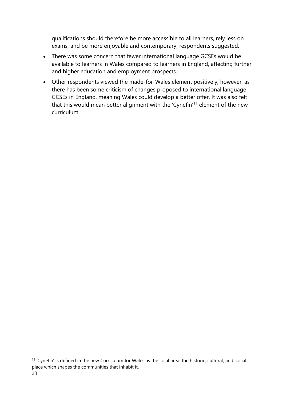qualifications should therefore be more accessible to all learners, rely less on exams, and be more enjoyable and contemporary, respondents suggested.

- There was some concern that fewer international language GCSEs would be available to learners in Wales compared to learners in England, affecting further and higher education and employment prospects.
- Other respondents viewed the made-for-Wales element positively, however, as there has been some criticism of changes proposed to international language GCSEs in England, meaning Wales could develop a better offer. It was also felt that this would mean better alignment with the 'Cynefin'<sup>11</sup> element of the new curriculum.

<sup>11</sup> 'Cynefin' is defined in the new Curriculum for Wales as the local area: the historic, cultural, and social place which shapes the communities that inhabit it.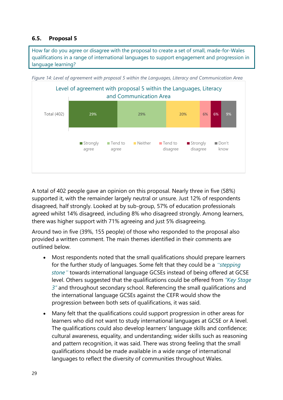#### <span id="page-32-0"></span>**6.5. Proposal 5**

How far do you agree or disagree with the proposal to create a set of small, made-for-Wales qualifications in a range of international languages to support engagement and progression in language learning?



<span id="page-32-1"></span>*Figure 14: Level of agreement with proposal 5 within the Languages, Literacy and Communication Area* 

A total of 402 people gave an opinion on this proposal. Nearly three in five (58%) supported it, with the remainder largely neutral or unsure. Just 12% of respondents disagreed, half strongly. Looked at by sub-group, 57% of education professionals agreed whilst 14% disagreed, including 8% who disagreed strongly. Among learners, there was higher support with 71% agreeing and just 5% disagreeing.

Around two in five (39%, 155 people) of those who responded to the proposal also provided a written comment. The main themes identified in their comments are outlined below.

- Most respondents noted that the small qualifications should prepare learners for the further study of languages. Some felt that they could be a *"stepping stone"* towards international language GCSEs instead of being offered at GCSE level. Others suggested that the qualifications could be offered from *"Key Stage 3"* and throughout secondary school. Referencing the small qualifications and the international language GCSEs against the CEFR would show the progression between both sets of qualifications, it was said.
- Many felt that the qualifications could support progression in other areas for learners who did not want to study international languages at GCSE or A level. The qualifications could also develop learners' language skills and confidence; cultural awareness, equality, and understanding; wider skills such as reasoning and pattern recognition, it was said. There was strong feeling that the small qualifications should be made available in a wide range of international languages to reflect the diversity of communities throughout Wales.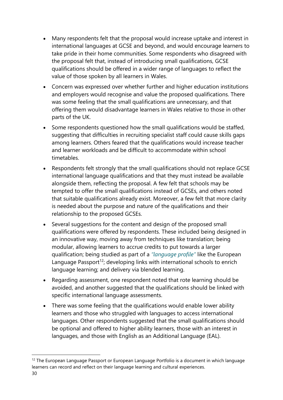- Many respondents felt that the proposal would increase uptake and interest in international languages at GCSE and beyond, and would encourage learners to take pride in their home communities. Some respondents who disagreed with the proposal felt that, instead of introducing small qualifications, GCSE qualifications should be offered in a wider range of languages to reflect the value of those spoken by all learners in Wales.
- Concern was expressed over whether further and higher education institutions and employers would recognise and value the proposed qualifications. There was some feeling that the small qualifications are unnecessary, and that offering them would disadvantage learners in Wales relative to those in other parts of the UK.
- Some respondents questioned how the small qualifications would be staffed, suggesting that difficulties in recruiting specialist staff could cause skills gaps among learners. Others feared that the qualifications would increase teacher and learner workloads and be difficult to accommodate within school timetables.
- Respondents felt strongly that the small qualifications should not replace GCSE international language qualifications and that they must instead be available alongside them, reflecting the proposal. A few felt that schools may be tempted to offer the small qualifications instead of GCSEs, and others noted that suitable qualifications already exist. Moreover, a few felt that more clarity is needed about the purpose and nature of the qualifications and their relationship to the proposed GCSEs.
- Several suggestions for the content and design of the proposed small qualifications were offered by respondents. These included being designed in an innovative way, moving away from techniques like translation; being modular, allowing learners to accrue credits to put towards a larger qualification; being studied as part of a *"language profile"* like the European Language Passport<sup>12</sup>; developing links with international schools to enrich language learning; and delivery via blended learning.
- Regarding assessment, one respondent noted that rote learning should be avoided, and another suggested that the qualifications should be linked with specific international language assessments.
- There was some feeling that the qualifications would enable lower ability learners and those who struggled with languages to access international languages. Other respondents suggested that the small qualifications should be optional and offered to higher ability learners, those with an interest in languages, and those with English as an Additional Language (EAL).

<sup>&</sup>lt;sup>12</sup> The European Language Passport or European Language Portfolio is a document in which language learners can record and reflect on their language learning and cultural experiences.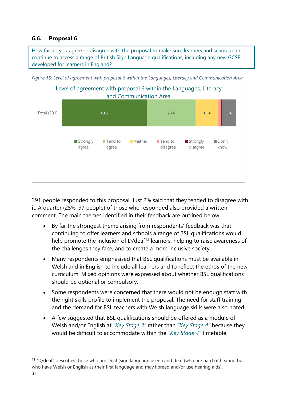#### <span id="page-34-0"></span>**6.6. Proposal 6**

How far do you agree or disagree with the proposal to make sure learners and schools can continue to access a range of British Sign Language qualifications, including any new GCSE developed for learners in England?



<span id="page-34-1"></span>*Figure 15: Level of agreement with proposal 6 within the Languages, Literacy and Communication Area*

391 people responded to this proposal. Just 2% said that they tended to disagree with it. A quarter (25%, 97 people) of those who responded also provided a written comment. The main themes identified in their feedback are outlined below.

- By far the strongest theme arising from respondents' feedback was that continuing to offer learners and schools a range of BSL qualifications would help promote the inclusion of  $D/dea<sup>f13</sup>$  learners, helping to raise awareness of the challenges they face, and to create a more inclusive society.
- Many respondents emphasised that BSL qualifications must be available in Welsh and in English to include all learners and to reflect the ethos of the new curriculum. Mixed opinions were expressed about whether BSL qualifications should be optional or compulsory.
- Some respondents were concerned that there would not be enough staff with the right skills profile to implement the proposal. The need for staff training and the demand for BSL teachers with Welsh language skills were also noted.
- A few suggested that BSL qualifications should be offered as a module of Welsh and/or English at *"Key Stage 3"* rather than *"Key Stage 4"* because they would be difficult to accommodate within the *"Key Stage 4"* timetable.

 $13$  "D/deaf" describes those who are Deaf (sign language users) and deaf (who are hard of hearing but who have Welsh or English as their first language and may lipread and/or use hearing aids).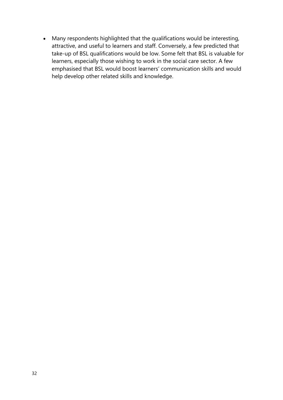• Many respondents highlighted that the qualifications would be interesting, attractive, and useful to learners and staff. Conversely, a few predicted that take-up of BSL qualifications would be low. Some felt that BSL is valuable for learners, especially those wishing to work in the social care sector. A few emphasised that BSL would boost learners' communication skills and would help develop other related skills and knowledge.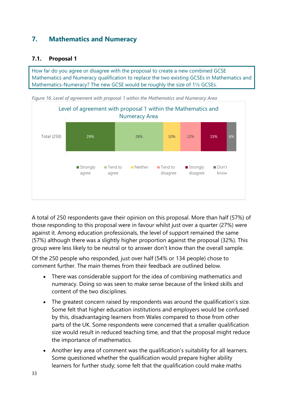## <span id="page-36-0"></span>**7. Mathematics and Numeracy**

#### <span id="page-36-1"></span>**7.1. Proposal 1**

How far do you agree or disagree with the proposal to create a new combined GCSE Mathematics and Numeracy qualification to replace the two existing GCSEs in Mathematics and Mathematics-Numeracy? The new GCSE would be roughly the size of 1½ GCSEs.

<span id="page-36-2"></span>*Figure 16: Level of agreement with proposal 1 within the Mathematics and Numeracy Area*



A total of 250 respondents gave their opinion on this proposal. More than half (57%) of those responding to this proposal were in favour whilst just over a quarter (27%) were against it. Among education professionals, the level of support remained the same (57%) although there was a slightly higher proportion against the proposal (32%). This group were less likely to be neutral or to answer don't know than the overall sample.

Of the 250 people who responded, just over half (54% or 134 people) chose to comment further. The main themes from their feedback are outlined below.

- There was considerable support for the idea of combining mathematics and numeracy. Doing so was seen to make sense because of the linked skills and content of the two disciplines.
- The greatest concern raised by respondents was around the qualification's size. Some felt that higher education institutions and employers would be confused by this, disadvantaging learners from Wales compared to those from other parts of the UK. Some respondents were concerned that a smaller qualification size would result in reduced teaching time, and that the proposal might reduce the importance of mathematics.
- Another key area of comment was the qualification's suitability for all learners. Some questioned whether the qualification would prepare higher ability learners for further study; some felt that the qualification could make maths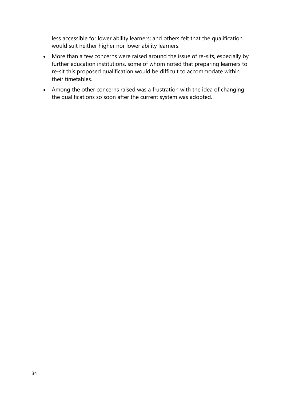less accessible for lower ability learners; and others felt that the qualification would suit neither higher nor lower ability learners.

- More than a few concerns were raised around the issue of re-sits, especially by further education institutions, some of whom noted that preparing learners to re-sit this proposed qualification would be difficult to accommodate within their timetables.
- Among the other concerns raised was a frustration with the idea of changing the qualifications so soon after the current system was adopted.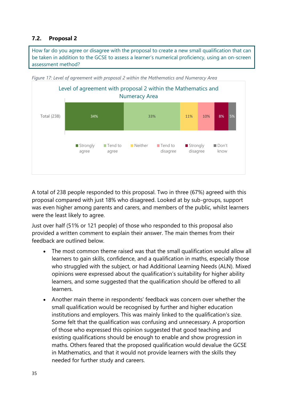#### <span id="page-38-0"></span>**7.2. Proposal 2**

How far do you agree or disagree with the proposal to create a new small qualification that can be taken in addition to the GCSE to assess a learner's numerical proficiency, using an on-screen assessment method?



<span id="page-38-1"></span>*Figure 17: Level of agreement with proposal 2 within the Mathematics and Numeracy Area*

A total of 238 people responded to this proposal. Two in three (67%) agreed with this proposal compared with just 18% who disagreed. Looked at by sub-groups, support was even higher among parents and carers, and members of the public, whilst learners were the least likely to agree.

Just over half (51% or 121 people) of those who responded to this proposal also provided a written comment to explain their answer. The main themes from their feedback are outlined below.

- The most common theme raised was that the small qualification would allow all learners to gain skills, confidence, and a qualification in maths, especially those who struggled with the subject, or had Additional Learning Needs (ALN). Mixed opinions were expressed about the qualification's suitability for higher ability learners, and some suggested that the qualification should be offered to all learners.
- Another main theme in respondents' feedback was concern over whether the small qualification would be recognised by further and higher education institutions and employers. This was mainly linked to the qualification's size. Some felt that the qualification was confusing and unnecessary. A proportion of those who expressed this opinion suggested that good teaching and existing qualifications should be enough to enable and show progression in maths. Others feared that the proposed qualification would devalue the GCSE in Mathematics, and that it would not provide learners with the skills they needed for further study and careers.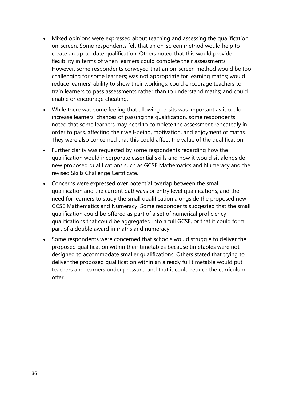- Mixed opinions were expressed about teaching and assessing the qualification on-screen. Some respondents felt that an on-screen method would help to create an up-to-date qualification. Others noted that this would provide flexibility in terms of when learners could complete their assessments. However, some respondents conveyed that an on-screen method would be too challenging for some learners; was not appropriate for learning maths; would reduce learners' ability to show their workings; could encourage teachers to train learners to pass assessments rather than to understand maths; and could enable or encourage cheating.
- While there was some feeling that allowing re-sits was important as it could increase learners' chances of passing the qualification, some respondents noted that some learners may need to complete the assessment repeatedly in order to pass, affecting their well-being, motivation, and enjoyment of maths. They were also concerned that this could affect the value of the qualification.
- Further clarity was requested by some respondents regarding how the qualification would incorporate essential skills and how it would sit alongside new proposed qualifications such as GCSE Mathematics and Numeracy and the revised Skills Challenge Certificate.
- Concerns were expressed over potential overlap between the small qualification and the current pathways or entry level qualifications, and the need for learners to study the small qualification alongside the proposed new GCSE Mathematics and Numeracy. Some respondents suggested that the small qualification could be offered as part of a set of numerical proficiency qualifications that could be aggregated into a full GCSE, or that it could form part of a double award in maths and numeracy.
- <span id="page-39-0"></span>• Some respondents were concerned that schools would struggle to deliver the proposed qualification within their timetables because timetables were not designed to accommodate smaller qualifications. Others stated that trying to deliver the proposed qualification within an already full timetable would put teachers and learners under pressure, and that it could reduce the curriculum offer.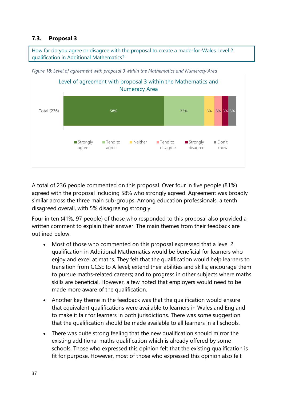#### **7.3. Proposal 3**

How far do you agree or disagree with the proposal to create a made-for-Wales Level 2 qualification in Additional Mathematics?

<span id="page-40-0"></span>



A total of 236 people commented on this proposal. Over four in five people (81%) agreed with the proposal including 58% who strongly agreed. Agreement was broadly similar across the three main sub-groups. Among education professionals, a tenth disagreed overall, with 5% disagreeing strongly.

Four in ten (41%, 97 people) of those who responded to this proposal also provided a written comment to explain their answer. The main themes from their feedback are outlined below.

- Most of those who commented on this proposal expressed that a level 2 qualification in Additional Mathematics would be beneficial for learners who enjoy and excel at maths. They felt that the qualification would help learners to transition from GCSE to A level; extend their abilities and skills; encourage them to pursue maths-related careers; and to progress in other subjects where maths skills are beneficial. However, a few noted that employers would need to be made more aware of the qualification.
- Another key theme in the feedback was that the qualification would ensure that equivalent qualifications were available to learners in Wales and England to make it fair for learners in both jurisdictions. There was some suggestion that the qualification should be made available to all learners in all schools.
- There was quite strong feeling that the new qualification should mirror the existing additional maths qualification which is already offered by some schools. Those who expressed this opinion felt that the existing qualification is fit for purpose. However, most of those who expressed this opinion also felt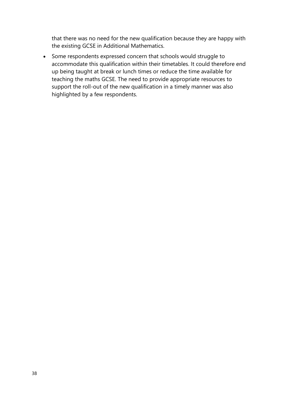that there was no need for the new qualification because they are happy with the existing GCSE in Additional Mathematics.

• Some respondents expressed concern that schools would struggle to accommodate this qualification within their timetables. It could therefore end up being taught at break or lunch times or reduce the time available for teaching the maths GCSE. The need to provide appropriate resources to support the roll-out of the new qualification in a timely manner was also highlighted by a few respondents.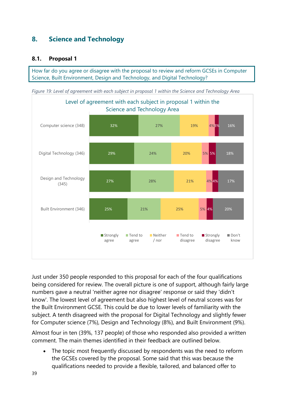## <span id="page-42-0"></span>**8. Science and Technology**

#### <span id="page-42-1"></span>**8.1. Proposal 1**

How far do you agree or disagree with the proposal to review and reform GCSEs in Computer Science, Built Environment, Design and Technology, and Digital Technology?

<span id="page-42-2"></span>*Figure 19: Level of agreement with each subject in proposal 1 within the Science and Technology Area*



Just under 350 people responded to this proposal for each of the four qualifications being considered for review. The overall picture is one of support, although fairly large numbers gave a neutral 'neither agree nor disagree' response or said they 'didn't know'. The lowest level of agreement but also highest level of neutral scores was for the Built Environment GCSE. This could be due to lower levels of familiarity with the subject. A tenth disagreed with the proposal for Digital Technology and slightly fewer for Computer science (7%), Design and Technology (8%), and Built Environment (9%).

Almost four in ten (39%, 137 people) of those who responded also provided a written comment. The main themes identified in their feedback are outlined below.

• The topic most frequently discussed by respondents was the need to reform the GCSEs covered by the proposal. Some said that this was because the qualifications needed to provide a flexible, tailored, and balanced offer to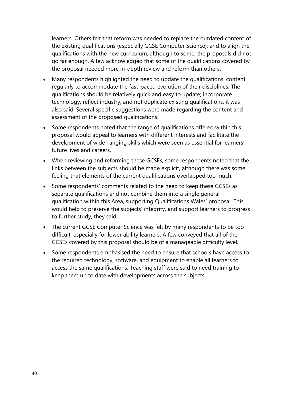learners. Others felt that reform was needed to replace the outdated content of the existing qualifications (especially GCSE Computer Science); and to align the qualifications with the new curriculum, although to some, the proposals did not go far enough. A few acknowledged that some of the qualifications covered by the proposal needed more in-depth review and reform than others.

- Many respondents highlighted the need to update the qualifications' content regularly to accommodate the fast-paced evolution of their disciplines. The qualifications should be relatively quick and easy to update; incorporate technology; reflect industry; and not duplicate existing qualifications, it was also said. Several specific suggestions were made regarding the content and assessment of the proposed qualifications.
- Some respondents noted that the range of qualifications offered within this proposal would appeal to learners with different interests and facilitate the development of wide-ranging skills which were seen as essential for learners' future lives and careers.
- When reviewing and reforming these GCSEs, some respondents noted that the links between the subjects should be made explicit, although there was some feeling that elements of the current qualifications overlapped too much.
- Some respondents' comments related to the need to keep these GCSEs as separate qualifications and not combine them into a single general qualification within this Area, supporting Qualifications Wales' proposal. This would help to preserve the subjects' integrity, and support learners to progress to further study, they said.
- The current GCSE Computer Science was felt by many respondents to be too difficult, especially for lower ability learners. A few conveyed that all of the GCSEs covered by this proposal should be of a manageable difficulty level.
- Some respondents emphasised the need to ensure that schools have access to the required technology, software, and equipment to enable all learners to access the same qualifications. Teaching staff were said to need training to keep them up to date with developments across the subjects.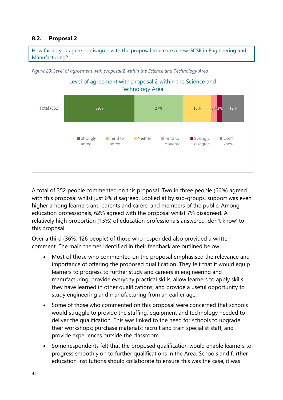#### <span id="page-44-0"></span>**8.2. Proposal 2**

How far do you agree or disagree with the proposal to create a new GCSE in Engineering and Manufacturing?



<span id="page-44-1"></span>*Figure 20: Level of agreement with proposal 2 within the Science and Technology Area*

A total of 352 people commented on this proposal. Two in three people (66%) agreed with this proposal whilst just 6% disagreed. Looked at by sub-groups, support was even higher among learners and parents and carers, and members of the public. Among education professionals, 62% agreed with the proposal whilst 7% disagreed. A relatively high proportion (15%) of education professionals answered 'don't know' to this proposal.

Over a third (36%, 126 people) of those who responded also provided a written comment. The main themes identified in their feedback are outlined below.

- Most of those who commented on the proposal emphasised the relevance and importance of offering the proposed qualification. They felt that it would equip learners to progress to further study and careers in engineering and manufacturing; provide everyday practical skills; allow learners to apply skills they have learned in other qualifications; and provide a useful opportunity to study engineering and manufacturing from an earlier age.
- Some of those who commented on this proposal were concerned that schools would struggle to provide the staffing, equipment and technology needed to deliver the qualification. This was linked to the need for schools to upgrade their workshops; purchase materials; recruit and train specialist staff; and provide experiences outside the classroom.
- Some respondents felt that the proposed qualification would enable learners to progress smoothly on to further qualifications in the Area. Schools and further education institutions should collaborate to ensure this was the case, it was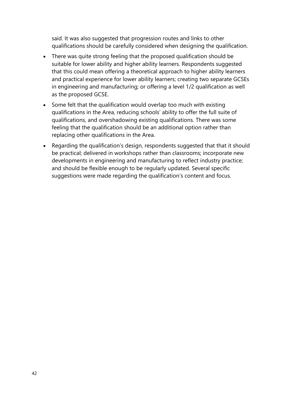said. It was also suggested that progression routes and links to other qualifications should be carefully considered when designing the qualification.

- There was quite strong feeling that the proposed qualification should be suitable for lower ability and higher ability learners. Respondents suggested that this could mean offering a theoretical approach to higher ability learners and practical experience for lower ability learners; creating two separate GCSEs in engineering and manufacturing; or offering a level 1/2 qualification as well as the proposed GCSE.
- Some felt that the qualification would overlap too much with existing qualifications in the Area, reducing schools' ability to offer the full suite of qualifications, and overshadowing existing qualifications. There was some feeling that the qualification should be an additional option rather than replacing other qualifications in the Area.
- Regarding the qualification's design, respondents suggested that that it should be practical; delivered in workshops rather than classrooms; incorporate new developments in engineering and manufacturing to reflect industry practice; and should be flexible enough to be regularly updated. Several specific suggestions were made regarding the qualification's content and focus.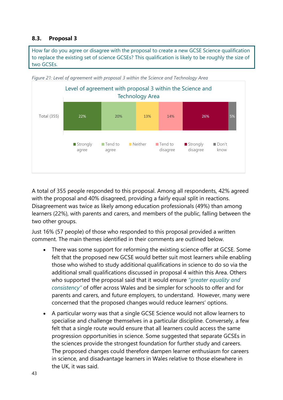#### <span id="page-46-0"></span>**8.3. Proposal 3**

How far do you agree or disagree with the proposal to create a new GCSE Science qualification to replace the existing set of science GCSEs? This qualification is likely to be roughly the size of two GCSEs.



<span id="page-46-1"></span>*Figure 21: Level of agreement with proposal 3 within the Science and Technology Area*

A total of 355 people responded to this proposal. Among all respondents, 42% agreed with the proposal and 40% disagreed, providing a fairly equal split in reactions. Disagreement was twice as likely among education professionals (49%) than among learners (22%), with parents and carers, and members of the public, falling between the two other groups.

Just 16% (57 people) of those who responded to this proposal provided a written comment. The main themes identified in their comments are outlined below.

- There was some support for reforming the existing science offer at GCSE. Some felt that the proposed new GCSE would better suit most learners while enabling those who wished to study additional qualifications in science to do so via the additional small qualifications discussed in proposal 4 within this Area. Others who supported the proposal said that it would ensure *"greater equality and consistency"* of offer across Wales and be simpler for schools to offer and for parents and carers, and future employers, to understand. However, many were concerned that the proposed changes would reduce learners' options.
- A particular worry was that a single GCSE Science would not allow learners to specialise and challenge themselves in a particular discipline. Conversely, a few felt that a single route would ensure that all learners could access the same progression opportunities in science. Some suggested that separate GCSEs in the sciences provide the strongest foundation for further study and careers. The proposed changes could therefore dampen learner enthusiasm for careers in science, and disadvantage learners in Wales relative to those elsewhere in the UK, it was said.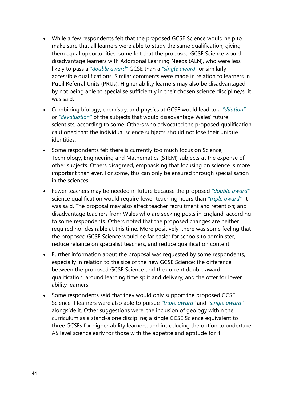- While a few respondents felt that the proposed GCSE Science would help to make sure that all learners were able to study the same qualification, giving them equal opportunities, some felt that the proposed GCSE Science would disadvantage learners with Additional Learning Needs (ALN), who were less likely to pass a *"double award"* GCSE than a *"single award"* or similarly accessible qualifications. Similar comments were made in relation to learners in Pupil Referral Units (PRUs). Higher ability learners may also be disadvantaged by not being able to specialise sufficiently in their chosen science discipline/s, it was said.
- Combining biology, chemistry, and physics at GCSE would lead to a *"dilution"* or *"devaluation"* of the subjects that would disadvantage Wales' future scientists, according to some. Others who advocated the proposed qualification cautioned that the individual science subjects should not lose their unique identities.
- Some respondents felt there is currently too much focus on Science, Technology, Engineering and Mathematics (STEM) subjects at the expense of other subjects. Others disagreed, emphasising that focusing on science is more important than ever. For some, this can only be ensured through specialisation in the sciences.
- Fewer teachers may be needed in future because the proposed *"double award"* science qualification would require fewer teaching hours than *"triple award",* it was said. The proposal may also affect teacher recruitment and retention; and disadvantage teachers from Wales who are seeking posts in England, according to some respondents. Others noted that the proposed changes are neither required nor desirable at this time. More positively, there was some feeling that the proposed GCSE Science would be far easier for schools to administer, reduce reliance on specialist teachers, and reduce qualification content.
- Further information about the proposal was requested by some respondents, especially in relation to the size of the new GCSE Science; the difference between the proposed GCSE Science and the current double award qualification; around learning time split and delivery; and the offer for lower ability learners.
- Some respondents said that they would only support the proposed GCSE Science if learners were also able to pursue *"triple award"* and *"single award"* alongside it. Other suggestions were: the inclusion of geology within the curriculum as a stand-alone discipline; a single GCSE Science equivalent to three GCSEs for higher ability learners; and introducing the option to undertake AS level science early for those with the appetite and aptitude for it.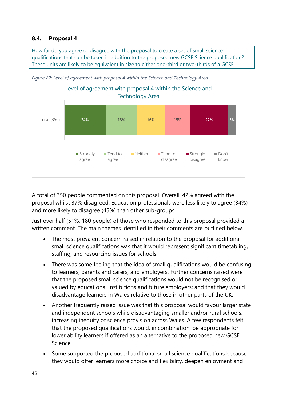#### <span id="page-48-0"></span>**8.4. Proposal 4**

How far do you agree or disagree with the proposal to create a set of small science qualifications that can be taken in addition to the proposed new GCSE Science qualification? These units are likely to be equivalent in size to either one-third or two-thirds of a GCSE.



<span id="page-48-1"></span>*Figure 22: Level of agreement with proposal 4 within the Science and Technology Area*

A total of 350 people commented on this proposal. Overall, 42% agreed with the proposal whilst 37% disagreed. Education professionals were less likely to agree (34%) and more likely to disagree (45%) than other sub-groups.

Just over half (51%, 180 people) of those who responded to this proposal provided a written comment. The main themes identified in their comments are outlined below.

- The most prevalent concern raised in relation to the proposal for additional small science qualifications was that it would represent significant timetabling, staffing, and resourcing issues for schools.
- There was some feeling that the idea of small qualifications would be confusing to learners, parents and carers, and employers. Further concerns raised were that the proposed small science qualifications would not be recognised or valued by educational institutions and future employers; and that they would disadvantage learners in Wales relative to those in other parts of the UK.
- Another frequently raised issue was that this proposal would favour larger state and independent schools while disadvantaging smaller and/or rural schools, increasing inequity of science provision across Wales. A few respondents felt that the proposed qualifications would, in combination, be appropriate for lower ability learners if offered as an alternative to the proposed new GCSE Science.
- Some supported the proposed additional small science qualifications because they would offer learners more choice and flexibility, deepen enjoyment and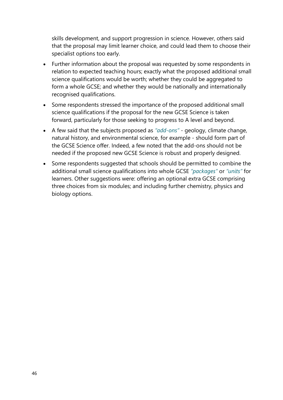skills development, and support progression in science. However, others said that the proposal may limit learner choice, and could lead them to choose their specialist options too early.

- Further information about the proposal was requested by some respondents in relation to expected teaching hours; exactly what the proposed additional small science qualifications would be worth; whether they could be aggregated to form a whole GCSE; and whether they would be nationally and internationally recognised qualifications.
- Some respondents stressed the importance of the proposed additional small science qualifications if the proposal for the new GCSE Science is taken forward, particularly for those seeking to progress to A level and beyond.
- A few said that the subjects proposed as *"add-ons"*  geology, climate change, natural history, and environmental science, for example - should form part of the GCSE Science offer. Indeed, a few noted that the add-ons should not be needed if the proposed new GCSE Science is robust and properly designed.
- Some respondents suggested that schools should be permitted to combine the additional small science qualifications into whole GCSE *"packages"* or *"units"* for learners. Other suggestions were: offering an optional extra GCSE comprising three choices from six modules; and including further chemistry, physics and biology options.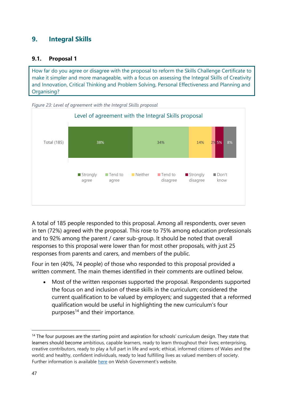## <span id="page-50-0"></span>**9. Integral Skills**

#### <span id="page-50-1"></span>**9.1. Proposal 1**

How far do you agree or disagree with the proposal to reform the Skills Challenge Certificate to make it simpler and more manageable, with a focus on assessing the Integral Skills of Creativity and Innovation, Critical Thinking and Problem Solving, Personal Effectiveness and Planning and Organising?

<span id="page-50-2"></span>

A total of 185 people responded to this proposal. Among all respondents, over seven in ten (72%) agreed with the proposal. This rose to 75% among education professionals and to 92% among the parent / carer sub-group. It should be noted that overall responses to this proposal were lower than for most other proposals, with just 25 responses from parents and carers, and members of the public.

Four in ten (40%, 74 people) of those who responded to this proposal provided a written comment. The main themes identified in their comments are outlined below.

• Most of the written responses supported the proposal. Respondents supported the focus on and inclusion of these skills in the curriculum; considered the current qualification to be valued by employers; and suggested that a reformed qualification would be useful in highlighting the new curriculum's four purposes<sup>14</sup> and their importance.

<sup>&</sup>lt;sup>14</sup> The four purposes are the starting point and aspiration for schools' curriculum design. They state that learners should become ambitious, capable learners, ready to learn throughout their lives; enterprising, creative contributors, ready to play a full part in life and work; ethical, informed citizens of Wales and the world; and healthy, confident individuals, ready to lead fulfilling lives as valued members of society. Further information is available [here](https://hwb.gov.wales/curriculum-for-wales/designing-your-curriculum/developing-a-vision-for-curriculum-design/#curriculum-design-and-the-four-purposes) on Welsh Government's website.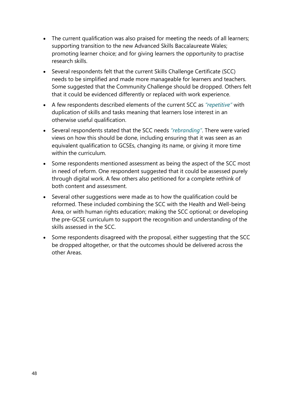- The current qualification was also praised for meeting the needs of all learners; supporting transition to the new Advanced Skills Baccalaureate Wales; promoting learner choice; and for giving learners the opportunity to practise research skills.
- Several respondents felt that the current Skills Challenge Certificate (SCC) needs to be simplified and made more manageable for learners and teachers. Some suggested that the Community Challenge should be dropped. Others felt that it could be evidenced differently or replaced with work experience.
- A few respondents described elements of the current SCC as *"repetitive"* with duplication of skills and tasks meaning that learners lose interest in an otherwise useful qualification.
- Several respondents stated that the SCC needs *"rebranding"*. There were varied views on how this should be done, including ensuring that it was seen as an equivalent qualification to GCSEs, changing its name, or giving it more time within the curriculum.
- Some respondents mentioned assessment as being the aspect of the SCC most in need of reform. One respondent suggested that it could be assessed purely through digital work. A few others also petitioned for a complete rethink of both content and assessment.
- Several other suggestions were made as to how the qualification could be reformed. These included combining the SCC with the Health and Well-being Area, or with human rights education; making the SCC optional; or developing the pre-GCSE curriculum to support the recognition and understanding of the skills assessed in the SCC.
- Some respondents disagreed with the proposal, either suggesting that the SCC be dropped altogether, or that the outcomes should be delivered across the other Areas.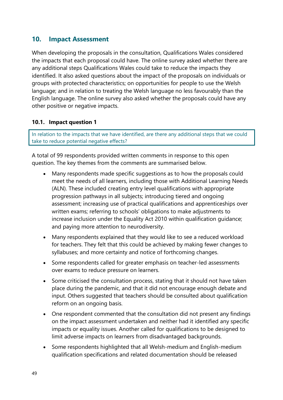## <span id="page-52-0"></span>**10. Impact Assessment**

When developing the proposals in the consultation, Qualifications Wales considered the impacts that each proposal could have. The online survey asked whether there are any additional steps Qualifications Wales could take to reduce the impacts they identified. It also asked questions about the impact of the proposals on individuals or groups with protected characteristics; on opportunities for people to use the Welsh language; and in relation to treating the Welsh language no less favourably than the English language. The online survey also asked whether the proposals could have any other positive or negative impacts.

#### <span id="page-52-1"></span>**10.1. Impact question 1**

In relation to the impacts that we have identified, are there any additional steps that we could take to reduce potential negative effects?

A total of 99 respondents provided written comments in response to this open question. The key themes from the comments are summarised below.

- Many respondents made specific suggestions as to how the proposals could meet the needs of all learners, including those with Additional Learning Needs (ALN). These included creating entry level qualifications with appropriate progression pathways in all subjects; introducing tiered and ongoing assessment; increasing use of practical qualifications and apprenticeships over written exams; referring to schools' obligations to make adjustments to increase inclusion under the Equality Act 2010 within qualification guidance; and paying more attention to neurodiversity.
- Many respondents explained that they would like to see a reduced workload for teachers. They felt that this could be achieved by making fewer changes to syllabuses; and more certainty and notice of forthcoming changes.
- Some respondents called for greater emphasis on teacher-led assessments over exams to reduce pressure on learners.
- Some criticised the consultation process, stating that it should not have taken place during the pandemic, and that it did not encourage enough debate and input. Others suggested that teachers should be consulted about qualification reform on an ongoing basis.
- One respondent commented that the consultation did not present any findings on the impact assessment undertaken and neither had it identified any specific impacts or equality issues. Another called for qualifications to be designed to limit adverse impacts on learners from disadvantaged backgrounds.
- Some respondents highlighted that all Welsh-medium and English-medium qualification specifications and related documentation should be released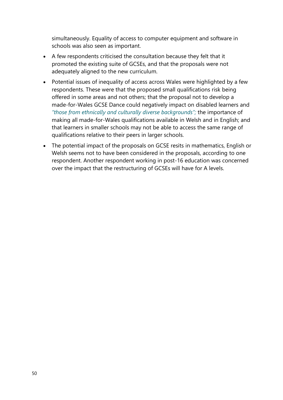simultaneously. Equality of access to computer equipment and software in schools was also seen as important.

- A few respondents criticised the consultation because they felt that it promoted the existing suite of GCSEs, and that the proposals were not adequately aligned to the new curriculum.
- Potential issues of inequality of access across Wales were highlighted by a few respondents. These were that the proposed small qualifications risk being offered in some areas and not others; that the proposal not to develop a made-for-Wales GCSE Dance could negatively impact on disabled learners and *"those from ethnically and culturally diverse backgrounds";* the importance of making all made-for-Wales qualifications available in Welsh and in English; and that learners in smaller schools may not be able to access the same range of qualifications relative to their peers in larger schools.
- The potential impact of the proposals on GCSE resits in mathematics, English or Welsh seems not to have been considered in the proposals, according to one respondent. Another respondent working in post-16 education was concerned over the impact that the restructuring of GCSEs will have for A levels.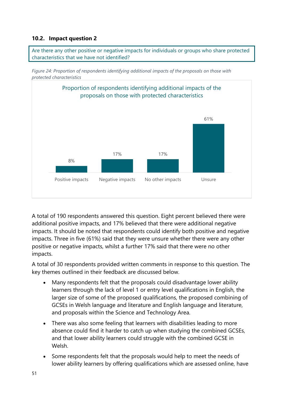#### <span id="page-54-0"></span>**10.2. Impact question 2**



<span id="page-54-1"></span>



A total of 190 respondents answered this question. Eight percent believed there were additional positive impacts, and 17% believed that there were additional negative impacts. It should be noted that respondents could identify both positive and negative impacts. Three in five (61%) said that they were unsure whether there were any other positive or negative impacts, whilst a further 17% said that there were no other impacts.

A total of 30 respondents provided written comments in response to this question. The key themes outlined in their feedback are discussed below.

- Many respondents felt that the proposals could disadvantage lower ability learners through the lack of level 1 or entry level qualifications in English, the larger size of some of the proposed qualifications, the proposed combining of GCSEs in Welsh language and literature and English language and literature, and proposals within the Science and Technology Area.
- There was also some feeling that learners with disabilities leading to more absence could find it harder to catch up when studying the combined GCSEs, and that lower ability learners could struggle with the combined GCSE in Welsh.
- Some respondents felt that the proposals would help to meet the needs of lower ability learners by offering qualifications which are assessed online, have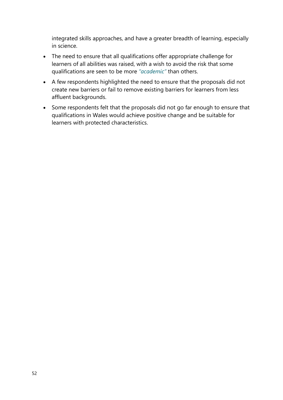integrated skills approaches, and have a greater breadth of learning, especially in science.

- The need to ensure that all qualifications offer appropriate challenge for learners of all abilities was raised, with a wish to avoid the risk that some qualifications are seen to be more *"academic"* than others.
- A few respondents highlighted the need to ensure that the proposals did not create new barriers or fail to remove existing barriers for learners from less affluent backgrounds.
- Some respondents felt that the proposals did not go far enough to ensure that qualifications in Wales would achieve positive change and be suitable for learners with protected characteristics.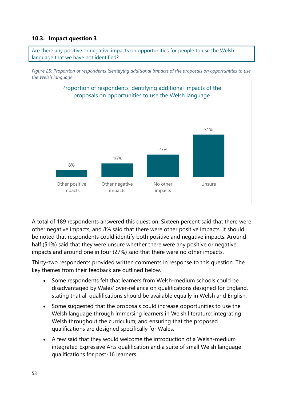#### <span id="page-56-0"></span>**10.3. Impact question 3**



<span id="page-56-1"></span>



A total of 189 respondents answered this question. Sixteen percent said that there were other negative impacts, and 8% said that there were other positive impacts. It should be noted that respondents could identify both positive and negative impacts. Around half (51%) said that they were unsure whether there were any positive or negative impacts and around one in four (27%) said that there were no other impacts.

Thirty-two respondents provided written comments in response to this question. The key themes from their feedback are outlined below.

- Some respondents felt that learners from Welsh-medium schools could be disadvantaged by Wales' over-reliance on qualifications designed for England, stating that all qualifications should be available equally in Welsh and English.
- Some suggested that the proposals could increase opportunities to use the Welsh language through immersing learners in Welsh literature; integrating Welsh throughout the curriculum; and ensuring that the proposed qualifications are designed specifically for Wales.
- A few said that they would welcome the introduction of a Welsh-medium integrated Expressive Arts qualification and a suite of small Welsh language qualifications for post-16 learners.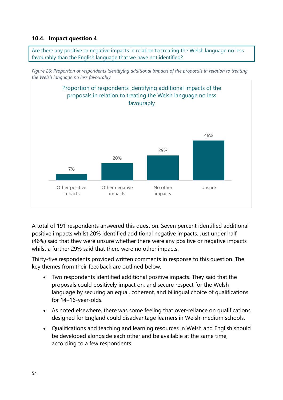#### <span id="page-57-0"></span>**10.4. Impact question 4**

Are there any positive or negative impacts in relation to treating the Welsh language no less favourably than the English language that we have not identified?

<span id="page-57-1"></span>



A total of 191 respondents answered this question. Seven percent identified additional positive impacts whilst 20% identified additional negative impacts. Just under half (46%) said that they were unsure whether there were any positive or negative impacts whilst a further 29% said that there were no other impacts.

Thirty-five respondents provided written comments in response to this question. The key themes from their feedback are outlined below.

- Two respondents identified additional positive impacts. They said that the proposals could positively impact on, and secure respect for the Welsh language by securing an equal, coherent, and bilingual choice of qualifications for 14–16-year-olds.
- As noted elsewhere, there was some feeling that over-reliance on qualifications designed for England could disadvantage learners in Welsh-medium schools.
- Qualifications and teaching and learning resources in Welsh and English should be developed alongside each other and be available at the same time, according to a few respondents.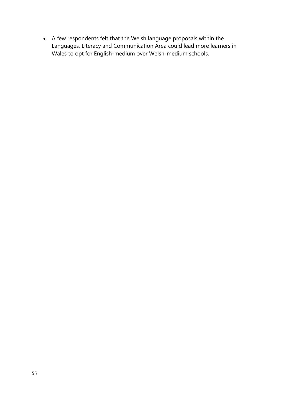• A few respondents felt that the Welsh language proposals within the Languages, Literacy and Communication Area could lead more learners in Wales to opt for English-medium over Welsh-medium schools.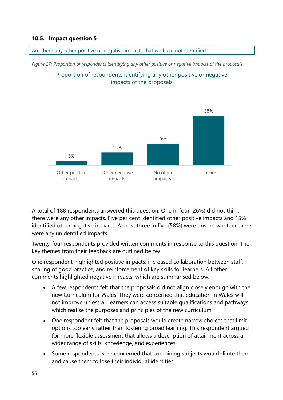#### <span id="page-59-0"></span>**10.5. Impact question 5**

<span id="page-59-1"></span>

Are there any other positive or negative impacts that we have not identified?

A total of 188 respondents answered this question. One in four (26%) did not think there were any other impacts. Five per cent identified other positive impacts and 15% identified other negative impacts. Almost three in five (58%) were unsure whether there were any unidentified impacts.

Twenty-four respondents provided written comments in response to this question. The key themes from their feedback are outlined below.

One respondent highlighted positive impacts: increased collaboration between staff, sharing of good practice, and reinforcement of key skills for learners. All other comments highlighted negative impacts, which are summarised below.

- A few respondents felt that the proposals did not align closely enough with the new Curriculum for Wales. They were concerned that education in Wales will not improve unless all learners can access suitable qualifications and pathways which realise the purposes and principles of the new curriculum.
- One respondent felt that the proposals would create narrow choices that limit options too early rather than fostering broad learning. This respondent argued for more flexible assessment that allows a description of attainment across a wider range of skills, knowledge, and experiences.
- Some respondents were concerned that combining subjects would dilute them and cause them to lose their individual identities.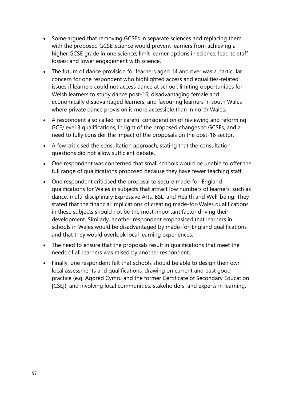- Some argued that removing GCSEs in separate sciences and replacing them with the proposed GCSE Science would prevent learners from achieving a higher GCSE grade in one science; limit learner options in science; lead to staff losses; and lower engagement with science.
- The future of dance provision for learners aged 14 and over was a particular concern for one respondent who highlighted access and equalities-related issues if learners could not access dance at school: limiting opportunities for Welsh learners to study dance post-16; disadvantaging female and economically disadvantaged learners; and favouring learners in south Wales where private dance provision is more accessible than in north Wales.
- A respondent also called for careful consideration of reviewing and reforming GCE/level 3 qualifications, in light of the proposed changes to GCSEs, and a need to fully consider the impact of the proposals on the post-16 sector.
- A few criticised the consultation approach, stating that the consultation questions did not allow sufficient debate.
- One respondent was concerned that small schools would be unable to offer the full range of qualifications proposed because they have fewer teaching staff.
- One respondent criticised the proposal to secure made-for-England qualifications for Wales in subjects that attract low numbers of learners, such as dance, multi-disciplinary Expressive Arts, BSL, and Health and Well-being. They stated that the financial implications of creating made-for-Wales qualifications in these subjects should not be the most important factor driving their development. Similarly, another respondent emphasised that learners in schools in Wales would be disadvantaged by made-for-England qualifications and that they would overlook local learning experiences.
- The need to ensure that the proposals result in qualifications that meet the needs of all learners was raised by another respondent.
- Finally, one respondent felt that schools should be able to design their own local assessments and qualifications, drawing on current and past good practice (e.g. Agored Cymru and the former Certificate of Secondary Education [CSE]), and involving local communities, stakeholders, and experts in learning.